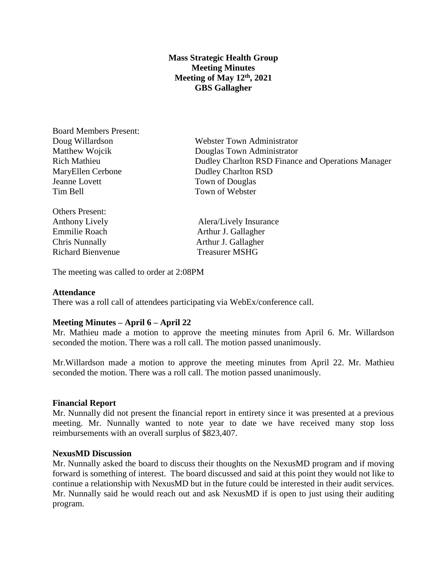# **Mass Strategic Health Group Meeting Minutes Meeting of May 12th, 2021 GBS Gallagher**

Board Members Present: MaryEllen Cerbone Dudley Charlton RSD Jeanne Lovett Town of Douglas Tim Bell Town of Webster

Others Present: Emmilie Roach Arthur J. Gallagher Chris Nunnally Arthur J. Gallagher Richard Bienvenue Treasurer MSHG

Doug Willardson Webster Town Administrator Matthew Wojcik Douglas Town Administrator Rich Mathieu Dudley Charlton RSD Finance and Operations Manager

Anthony Lively **Alera** Alera Alera Alera Alera Alera Alera Alera Alera Alera Alera Alera Alera Alera Alera Alera Alera Alera Alera Alera Alera Alera Alera Alera Alera Alera Alera Alera Alera Alera Alera Alera Alera Alera A

The meeting was called to order at 2:08PM

## **Attendance**

There was a roll call of attendees participating via WebEx/conference call.

## **Meeting Minutes – April 6 – April 22**

Mr. Mathieu made a motion to approve the meeting minutes from April 6. Mr. Willardson seconded the motion. There was a roll call. The motion passed unanimously.

Mr.Willardson made a motion to approve the meeting minutes from April 22. Mr. Mathieu seconded the motion. There was a roll call. The motion passed unanimously.

#### **Financial Report**

Mr. Nunnally did not present the financial report in entirety since it was presented at a previous meeting. Mr. Nunnally wanted to note year to date we have received many stop loss reimbursements with an overall surplus of \$823,407.

#### **NexusMD Discussion**

Mr. Nunnally asked the board to discuss their thoughts on the NexusMD program and if moving forward is something of interest. The board discussed and said at this point they would not like to continue a relationship with NexusMD but in the future could be interested in their audit services. Mr. Nunnally said he would reach out and ask NexusMD if is open to just using their auditing program.